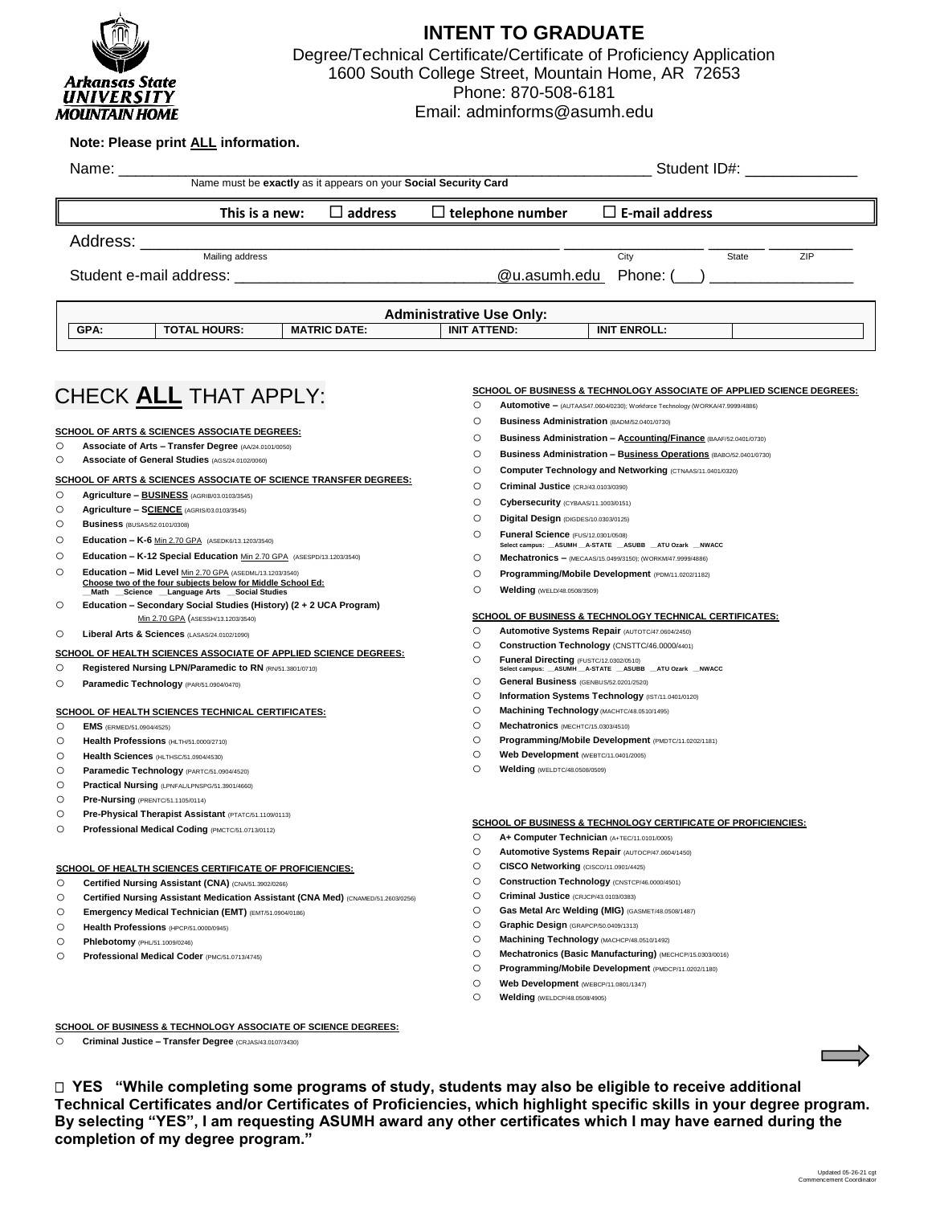

## **INTENT TO GRADUATE**

Degree/Technical Certificate/Certificate of Proficiency Application 1600 South College Street, Mountain Home, AR 72653 Phone: 870-508-6181

Email: adminforms@asumh.edu

## CHECK **ALL** THAT APPLY: **Note: Please print ALL information.** Name: \_\_\_\_\_\_\_\_\_\_\_\_\_\_\_\_\_\_\_\_\_\_\_\_\_\_\_\_\_\_\_\_\_\_\_\_\_\_\_\_\_\_\_\_\_\_\_\_\_\_\_\_\_\_\_\_\_\_\_\_\_\_\_ Student ID#: \_\_\_\_\_\_\_\_\_\_\_\_ Name must be **exactly** as it appears on your **Social Security Card** Address: \_\_\_\_\_\_\_\_\_\_\_\_\_\_\_\_\_\_\_\_\_\_\_\_\_\_\_\_\_\_\_\_\_\_\_\_\_\_\_\_\_\_\_\_\_ \_\_\_\_\_\_\_\_\_\_\_\_\_\_\_ \_\_\_\_\_\_ \_\_\_\_\_\_\_\_\_ Mailing address City State ZIP Student e-mail address: \_\_\_\_\_\_\_\_\_\_\_\_\_\_\_\_\_\_\_\_\_\_\_\_\_\_\_\_\_\_\_@u.asumh.edu Phone: (\_\_\_) \_\_\_\_\_\_\_\_\_\_\_\_\_\_\_\_\_ **This is a new: address telephone number E-mail address Administrative Use Only:** GPA: | TOTAL HOURS: | MATRIC DATE: | INIT ATTEND: | INIT ENROLL: **SCHOOL OF ARTS & SCIENCES ASSOCIATE OF SCIENCE TRANSFER DEGREES:** o **Agriculture – BUSINESS** (AGRIB/03.0103/3545) o **Agriculture – SCIENCE** (AGRIS/03.0103/3545) o **Business** (BUSAS/52.0101/0308) o **Education – K-6** Min 2.70 GPA (ASEDK6/13.1203/3540) o **Education – K-12 Special Education** Min 2.70 GPA (ASESPD/13.1203/3540) o **Education – Mid Level** Min 2.70 GPA (ASEDML/13.1203/3540) **Choose two of the four subjects below for Middle School Ed: \_\_Math \_\_Science \_\_Language Arts \_\_Social Studies** o **Education – Secondary Social Studies (History) (2 + 2 UCA Program)**  Min 2.70 GPA (ASESSH/13.1203/3540) o **Liberal Arts & Sciences** (LASAS/24.0102/1090) **SCHOOL OF ARTS & SCIENCES ASSOCIATE DEGREES:** o **Associate of Arts – Transfer Degree** (AA/24.0101/0050) o **Associate of General Studies** (AGS/24.0102/0060) **SCHOOL OF HEALTH SCIENCES ASSOCIATE OF APPLIED SCIENCE DEGREES:** o **Registered Nursing LPN/Paramedic to RN** (RN/51.3801/0710) o **Paramedic Technology** (PAR/51.0904/0470) **SCHOOL OF HEALTH SCIENCES TECHNICAL CERTIFICATES:** o **EMS** (ERMED/51.0904/4525) o **Health Professions** (HLTH/51.0000/2710) o **Health Sciences** (HLTHSC/51.0904/4530) o **Paramedic Technology** (PARTC/51.0904/4520) o **Practical Nursing** (LPNFAL/LPNSPG/51.3901/4660) o **Pre-Nursing** (PRENTC/51.1105/0114) o **Pre-Physical Therapist Assistant** (PTATC/51.1109/0113) o **Professional Medical Coding** (PMCTC/51.0713/0112) **SCHOOL OF BUSINESS & TECHNOLOGY CERTIFICATE OF PROFICIENCIES:** o **A+ Computer Technician** (A+TEC/11.0101/0005) o **Automotive Systems Repair** (AUTOCP/47.0604/1450) o **CISCO Networking** (CISCO/11.0901/4425) o **Construction Technology** (CNSTCP/46.0000/4501) o **Criminal Justice** (CRJCP/43.0103/0383) o **Gas Metal Arc Welding (MIG)** (GASMET/48.0508/1487) o **Graphic Design** (GRAPCP/50.0409/1313) o **Machining Technology** (MACHCP/48.0510/1492) o **Mechatronics (Basic Manufacturing)** (MECHCP/15.0303/0016) o **Programming/Mobile Development** (PMDCP/11.0202/1180) o **Web Development** (WEBCP/11.0801/1347) o **Welding** (WELDCP/48.0508/4905) **SCHOOL OF BUSINESS & TECHNOLOGY TECHNICAL CERTIFICATES:** o **Automotive Systems Repair** (AUTOTC/47.0604/2450) o **Construction Technology** (CNSTTC/46.0000/4401) O **Funeral Directing** (FUSTC/12.0302/0510)<br>Select campus: \_\_ASUMH \_\_A-STATE \_\_ASUBB \_\_ATU Ozark \_\_NWACC o **General Business** (GENBUS/52.0201/2520) o **Information Systems Technology** (IST/11.0401/0120) o **Machining Technology** (MACHTC/48.0510/1495) o **Mechatronics** (MECHTC/15.0303/4510) o **Programming/Mobile Development** (PMDTC/11.0202/1181) o **Web Development** (WEBTC/11.0401/2005) o **Welding** (WELDTC/48.0508/0509) **SCHOOL OF BUSINESS & TECHNOLOGY ASSOCIATE OF APPLIED SCIENCE DEGREES:** o **Automotive –** (AUTAAS47.0604/0230); Workforce Technology (WORKA/47.9999/4886) o **Business Administration** (BADM/52.0401/0730) o **Business Administration – Accounting/Finance** (BAAF/52.0401/0730) o **Business Administration – Business Operations** (BABO/52.0401/0730) o **Computer Technology and Networking** (CTNAAS/11.0401/0320) o **Criminal Justice** (CRJ/43.0103/0390) o **Cybersecurity** (CYBAAS/11.1003/0151) o **Digital Design** (DIGDES/10.0303/0125) o **Funeral Science** (FUS/12.0301/0508) **Select campus: \_\_ASUMH \_\_A-STATE \_\_ASUBB \_\_ATU Ozark \_\_NWACC** o **Mechatronics –** (MECAAS/15.0499/3150); (WORKM/47.9999/4886) o **Programming/Mobile Development** (PDM/11.0202/1182) o **Welding** (WELD/48.0508/3509) **SCHOOL OF BUSINESS & TECHNOLOGY ASSOCIATE OF SCIENCE DEGREES:** o **Criminal Justice – Transfer Degree** (CRJAS/43.0107/3430) **SCHOOL OF HEALTH SCIENCES CERTIFICATE OF PROFICIENCIES:** o **Certified Nursing Assistant (CNA)** (CNA/51.3902/0266) o **Certified Nursing Assistant Medication Assistant (CNA Med)** (CNAMED/51.2603/0256) o **Emergency Medical Technician (EMT)** (EMT/51.0904/0186) o **Health Professions** (HPCP/51.0000/0945) o **Phlebotomy** (PHL/51.1009/0246) o **Professional Medical Coder** (PMC/51.0713/4745)

 **YES "While completing some programs of study, students may also be eligible to receive additional Technical Certificates and/or Certificates of Proficiencies, which highlight specific skills in your degree program. By selecting "YES", I am requesting ASUMH award any other certificates which I may have earned during the completion of my degree program."**